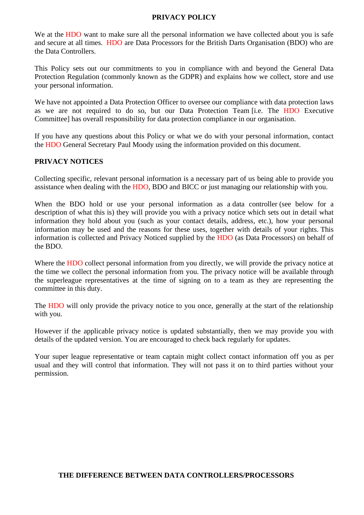#### **PRIVACY POLICY**

We at the HDO want to make sure all the personal information we have collected about you is safe and secure at all times. HDO are Data Processors for the British Darts Organisation (BDO) who are the Data Controllers.

This Policy sets out our commitments to you in compliance with and beyond the General Data Protection Regulation (commonly known as the GDPR) and explains how we collect, store and use your personal information.

We have not appointed a Data Protection Officer to oversee our compliance with data protection laws as we are not required to do so, but our Data Protection Team [i.e. The HDO Executive Committee] has overall responsibility for data protection compliance in our organisation.

If you have any questions about this Policy or what we do with your personal information, contact the HDO General Secretary Paul Moody using the information provided on this document.

## **PRIVACY NOTICES**

Collecting specific, relevant personal information is a necessary part of us being able to provide you assistance when dealing with the HDO, BDO and BICC or just managing our relationship with you.

When the BDO hold or use your personal information as a data controller (see below for a description of what this is) they will provide you with a privacy notice which sets out in detail what information they hold about you (such as your contact details, address, etc.), how your personal information may be used and the reasons for these uses, together with details of your rights. This information is collected and Privacy Noticed supplied by the HDO (as Data Processors) on behalf of the BDO.

Where the HDO collect personal information from you directly, we will provide the privacy notice at the time we collect the personal information from you. The privacy notice will be available through the superleague representatives at the time of signing on to a team as they are representing the committee in this duty.

The HDO will only provide the privacy notice to you once, generally at the start of the relationship with you.

However if the applicable privacy notice is updated substantially, then we may provide you with details of the updated version. You are encouraged to check back regularly for updates.

Your super league representative or team captain might collect contact information off you as per usual and they will control that information. They will not pass it on to third parties without your permission.

#### **THE DIFFERENCE BETWEEN DATA CONTROLLERS/PROCESSORS**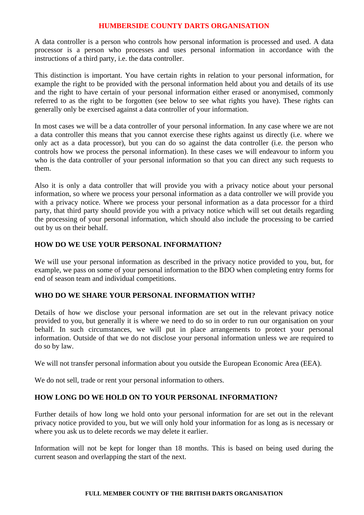### **HUMBERSIDE COUNTY DARTS ORGANISATION**

A data controller is a person who controls how personal information is processed and used. A data processor is a person who processes and uses personal information in accordance with the instructions of a third party, i.e. the data controller.

This distinction is important. You have certain rights in relation to your personal information, for example the right to be provided with the personal information held about you and details of its use and the right to have certain of your personal information either erased or anonymised, commonly referred to as the right to be forgotten (see below to see what rights you have). These rights can generally only be exercised against a data controller of your information.

In most cases we will be a data controller of your personal information. In any case where we are not a data controller this means that you cannot exercise these rights against us directly (i.e. where we only act as a data processor), but you can do so against the data controller (i.e. the person who controls how we process the personal information). In these cases we will endeavour to inform you who is the data controller of your personal information so that you can direct any such requests to them.

Also it is only a data controller that will provide you with a privacy notice about your personal information, so where we process your personal information as a data controller we will provide you with a privacy notice. Where we process your personal information as a data processor for a third party, that third party should provide you with a privacy notice which will set out details regarding the processing of your personal information, which should also include the processing to be carried out by us on their behalf.

# **HOW DO WE USE YOUR PERSONAL INFORMATION?**

We will use your personal information as described in the privacy notice provided to you, but, for example, we pass on some of your personal information to the BDO when completing entry forms for end of season team and individual competitions.

# **WHO DO WE SHARE YOUR PERSONAL INFORMATION WITH?**

Details of how we disclose your personal information are set out in the relevant privacy notice provided to you, but generally it is where we need to do so in order to run our organisation on your behalf. In such circumstances, we will put in place arrangements to protect your personal information. Outside of that we do not disclose your personal information unless we are required to do so by law.

We will not transfer personal information about you outside the European Economic Area (EEA).

We do not sell, trade or rent your personal information to others.

# **HOW LONG DO WE HOLD ON TO YOUR PERSONAL INFORMATION?**

Further details of how long we hold onto your personal information for are set out in the relevant privacy notice provided to you, but we will only hold your information for as long as is necessary or where you ask us to delete records we may delete it earlier.

Information will not be kept for longer than 18 months. This is based on being used during the current season and overlapping the start of the next.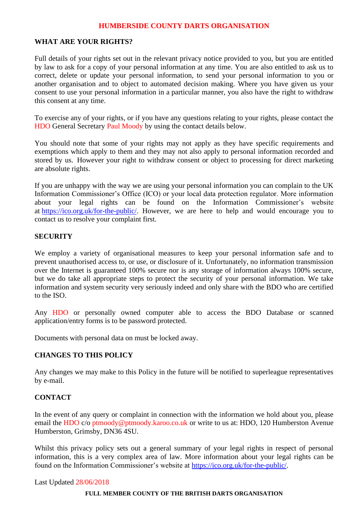### **HUMBERSIDE COUNTY DARTS ORGANISATION**

## **WHAT ARE YOUR RIGHTS?**

Full details of your rights set out in the relevant privacy notice provided to you, but you are entitled by law to ask for a copy of your personal information at any time. You are also entitled to ask us to correct, delete or update your personal information, to send your personal information to you or another organisation and to object to automated decision making. Where you have given us your consent to use your personal information in a particular manner, you also have the right to withdraw this consent at any time.

To exercise any of your rights, or if you have any questions relating to your rights, please contact the HDO General Secretary Paul Moody by using the contact details below.

You should note that some of your rights may not apply as they have specific requirements and exemptions which apply to them and they may not also apply to personal information recorded and stored by us. However your right to withdraw consent or object to processing for direct marketing are absolute rights.

If you are unhappy with the way we are using your personal information you can complain to the UK Information Commissioner's Office (ICO) or your local data protection regulator. More information about your legal rights can be found on the Information Commissioner's website at [https://ico.org.uk/for-the-public/.](https://ico.org.uk/for-the-public/) However, we are here to help and would encourage you to contact us to resolve your complaint first.

#### **SECURITY**

We employ a variety of organisational measures to keep your personal information safe and to prevent unauthorised access to, or use, or disclosure of it. Unfortunately, no information transmission over the Internet is guaranteed 100% secure nor is any storage of information always 100% secure, but we do take all appropriate steps to protect the security of your personal information. We take information and system security very seriously indeed and only share with the BDO who are certified to the ISO.

Any HDO or personally owned computer able to access the BDO Database or scanned application/entry forms is to be password protected.

Documents with personal data on must be locked away.

# **CHANGES TO THIS POLICY**

Any changes we may make to this Policy in the future will be notified to superleague representatives by e-mail.

#### **CONTACT**

In the event of any query or complaint in connection with the information we hold about you, please email the HDO c/o ptmoody@ptmoody.karoo.co.uk or write to us at: HDO, 120 Humberston Avenue Humberston, Grimsby, DN36 4SU.

Whilst this privacy policy sets out a general summary of your legal rights in respect of personal information, this is a very complex area of law. More information about your legal rights can be found on the Information Commissioner's website at [https://ico.org.uk/for-the-public/.](https://ico.org.uk/for-the-public/)

#### Last Updated 28/06/2018

#### **FULL MEMBER COUNTY OF THE BRITISH DARTS ORGANISATION**